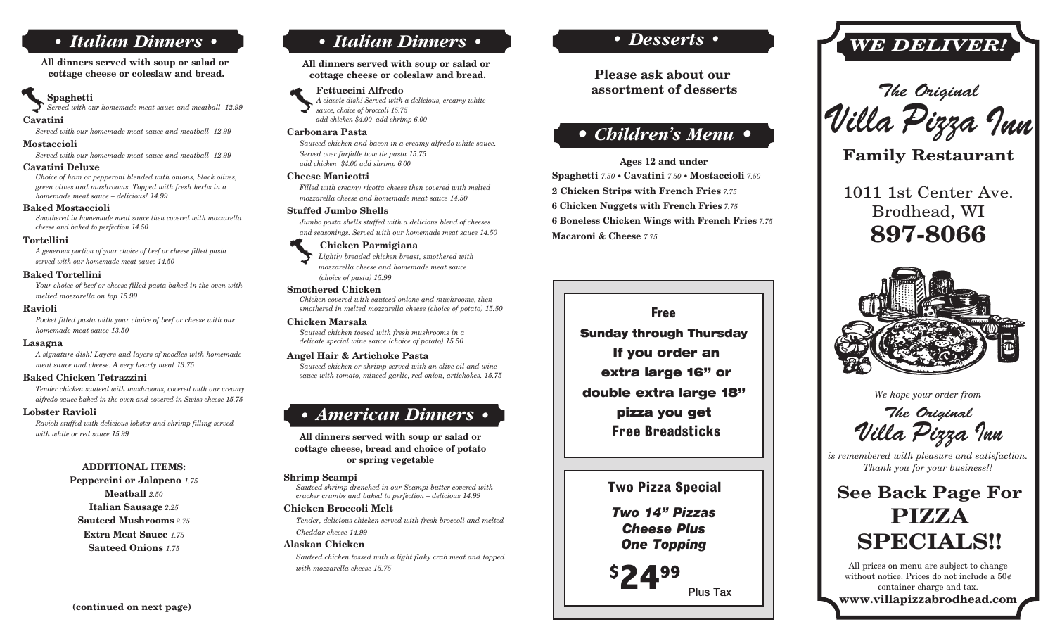# *• Italian Dinners •*

All dinners served with soup or salad or cottage cheese or coleslaw and bread.

## Spaghetti

*Served with our homemade meat sauce and meatball 12.99*

## Cavatini

*Served with our homemade meat sauce and meatball 12.99*

## Mostaccioli

*Served with our homemade meat sauce and meatball 12.99*

#### Cavatini Deluxe

*Choice of ham or pepperoni blended with onions, black olives, green olives and mushrooms. Topped with fresh herbs in a homemade meat sauce – delicious! 14.99*

#### Baked Mostaccioli

*Smothered in homemade meat sauce then covered with mozzarella cheese and baked to perfection 14.50*

#### Tortellini

*A generous portion of your choice of beef or cheese filled pasta served with our homemade meat sauce 14.50*

### Baked Tortellini

*Your choice of beef or cheese filled pasta baked in the oven with melted mozzarella on top 15.99*

#### Ravioli

*Pocket filled pasta with your choice of beef or cheese with our homemade meat sauce 13.50*

#### Lasagna

*A signature dish! Layers and layers of noodles with homemade meat sauce and cheese. A very hearty meal 13.75*

### Baked Chicken Tetrazzini

*Tender chicken sauteed with mushrooms, covered with our creamy alfredo sauce baked in the oven and covered in Swiss cheese 15.75*

#### Lobster Ravioli

*Ravioli stuffed with delicious lobster and shrimp filling served with white or red sauce 15.99*

## ADDITIONAL ITEMS:

Peppercini or Jalapeno *1.75*  Meatball *2.50* Italian Sausage *2.25*  Sauteed Mushrooms *2.75* Extra Meat Sauce *1.75*  Sauteed Onions *1.75*

# *• Italian Dinners •*

All dinners served with soup or salad or cottage cheese or coleslaw and bread.

### Fettuccini Alfredo

*A classic dish! Served with a delicious, creamy white sauce, choice of broccoli 15.75 add chicken \$4.00 add shrimp 6.00*

#### Carbonara Pasta

*Sauteed chicken and bacon in a creamy alfredo white sauce. Served over farfalle bow tie pasta 15.75 add chicken \$4.00 add shrimp 6.00*

### Cheese Manicotti

*Filled with creamy ricotta cheese then covered with melted mozzarella cheese and homemade meat sauce 14.50*

#### Stuffed Jumbo Shells

*Jumbo pasta shells stuffed with a delicious blend of cheeses and seasonings. Served with our homemade meat sauce 14.50*

#### Chicken Parmigiana

 *Lightly breaded chicken breast, smothered with mozzarella cheese and homemade meat sauce (choice of pasta) 15.99*

#### Smothered Chicken

*Chicken covered with sauteed onions and mushrooms, then smothered in melted mozzarella cheese (choice of potato) 15.50*

### Chicken Marsala

*Sauteed chicken tossed with fresh mushrooms in a delicate special wine sauce (choice of potato) 15.50*

## Angel Hair & Artichoke Pasta

*Sauteed chicken or shrimp served with an olive oil and wine sauce with tomato, minced garlic, red onion, artichokes. 15.75*

# *• American Dinners •*

All dinners served with soup or salad or cottage cheese, bread and choice of potato or spring vegetable

#### Shrimp Scampi

*Sauteed shrimp drenched in our Scampi butter covered with cracker crumbs and baked to perfection – delicious 14.99*

### Chicken Broccoli Melt *Tender, delicious chicken served with fresh broccoli and melted*

*Cheddar cheese 14.99*

## Alaskan Chicken

*Sauteed chicken tossed with a light flaky crab meat and topped with mozzarella cheese 15.75*

# *• Desserts •*

**Please ask about our assortment of desserts**

# *• Children's Menu •*

Ages 12 and under Spaghetti *7.50 •* Cavatini *7.50 •* Mostaccioli *7.50* 2 Chicken Strips with French Fries *7.75* 6 Chicken Nuggets with French Fries *7.75* 6 Boneless Chicken Wings with French Fries *7.75* Macaroni & Cheese *7.75*

# **Free** Sunday through Thursday If you order an extra large 16" or double extra large 18" pizza you get  **Free Breadsticks**

# **Two Pizza Special**

*Two 14" Pizzas Cheese Plus One Topping*

**\$** Plus Tax

# *WE DELIVER!*



Family Restaurant

1011 1st Center Ave. Brodhead, WI 897-8066



*We hope your order from*

The Original Villa Pizza Inn

*is remembered with pleasure and satisfaction. Thank you for your business!!*

# See Back Page For PIZZA SPECIALS!!

**2499** All prices on menu are subject to change<br>without notice. Prices do not include a 50<sup>c</sup><br>container charge and tax.<br>The change of the change of the change of the change of the change of the change of the change of the without notice. Prices do not include a 50¢ container charge and tax. www.villapizzabrodhead.com